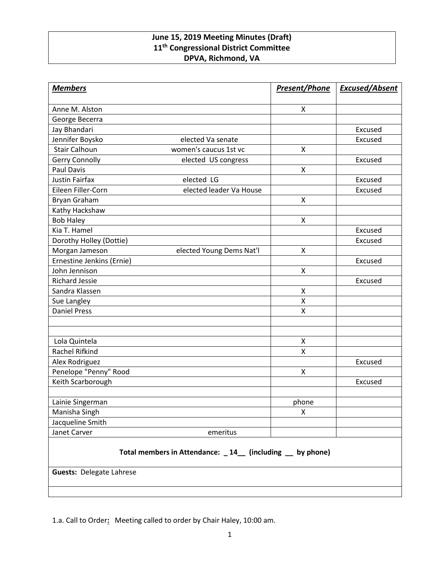## **June 15, 2019 Meeting Minutes (Draft) 11th Congressional District Committee DPVA, Richmond, VA**

| <b>Members</b>                  |                                                          | <b>Present/Phone</b> | <b>Excused/Absent</b> |
|---------------------------------|----------------------------------------------------------|----------------------|-----------------------|
| Anne M. Alston                  |                                                          | X                    |                       |
| George Becerra                  |                                                          |                      |                       |
| Jay Bhandari                    |                                                          |                      | Excused               |
| Jennifer Boysko                 | elected Va senate                                        |                      | Excused               |
| <b>Stair Calhoun</b>            | women's caucus 1st vc                                    | X                    |                       |
| <b>Gerry Connolly</b>           | elected US congress                                      |                      | Excused               |
| <b>Paul Davis</b>               |                                                          | X                    |                       |
| <b>Justin Fairfax</b>           | elected LG                                               |                      | Excused               |
| Eileen Filler-Corn              | elected leader Va House                                  |                      | Excused               |
| Bryan Graham                    |                                                          | X                    |                       |
| Kathy Hackshaw                  |                                                          |                      |                       |
| <b>Bob Haley</b>                |                                                          | X                    |                       |
| Kia T. Hamel                    |                                                          |                      | Excused               |
| Dorothy Holley (Dottie)         |                                                          |                      | Excused               |
| Morgan Jameson                  | elected Young Dems Nat'l                                 | X                    |                       |
| Ernestine Jenkins (Ernie)       |                                                          |                      | Excused               |
| John Jennison                   |                                                          | X                    |                       |
| <b>Richard Jessie</b>           |                                                          |                      | Excused               |
| Sandra Klassen                  |                                                          | X                    |                       |
| Sue Langley                     |                                                          | Χ                    |                       |
| <b>Daniel Press</b>             |                                                          | Χ                    |                       |
|                                 |                                                          |                      |                       |
|                                 |                                                          |                      |                       |
| Lola Quintela                   |                                                          | X                    |                       |
| Rachel Rifkind                  |                                                          | X                    |                       |
| Alex Rodriguez                  |                                                          |                      | Excused               |
| Penelope "Penny" Rood           |                                                          | X                    |                       |
| Keith Scarborough               |                                                          |                      | Excused               |
| Lainie Singerman                |                                                          | phone                |                       |
| Manisha Singh                   |                                                          | X                    |                       |
| Jacqueline Smith                |                                                          |                      |                       |
| Janet Carver                    | emeritus                                                 |                      |                       |
|                                 |                                                          |                      |                       |
|                                 | Total members in Attendance: _14_ (including _ by phone) |                      |                       |
| <b>Guests: Delegate Lahrese</b> |                                                          |                      |                       |
|                                 |                                                          |                      |                       |

1.a. Call to Order**:** Meeting called to order by Chair Haley, 10:00 am.